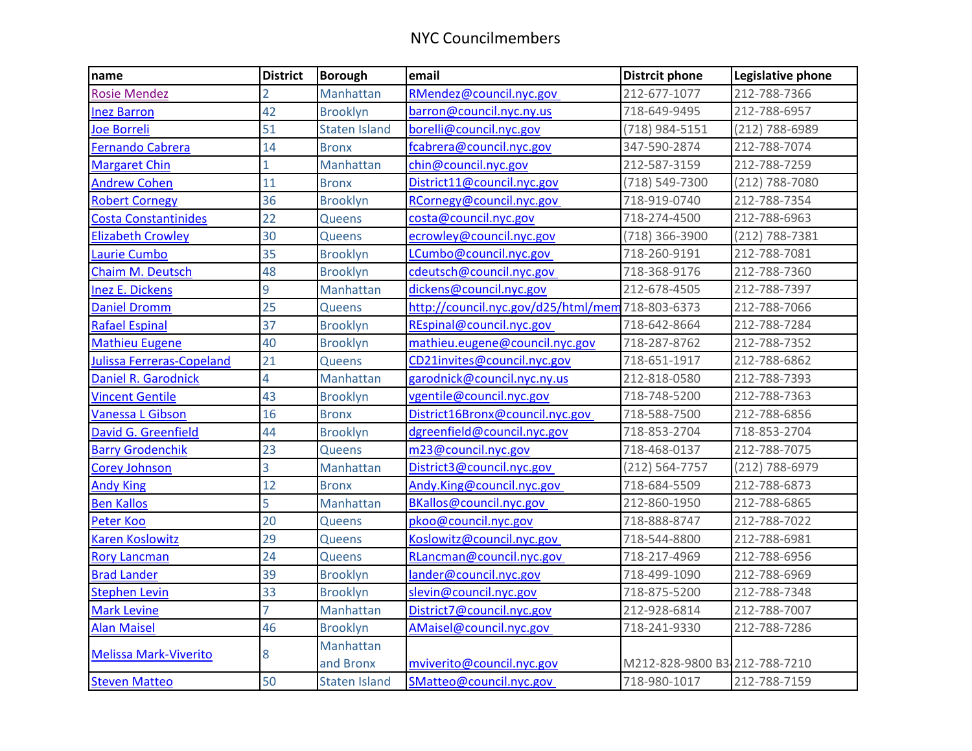| name                         | <b>District</b> | <b>Borough</b>         | email                                            | <b>Distrcit phone</b>         | Legislative phone |
|------------------------------|-----------------|------------------------|--------------------------------------------------|-------------------------------|-------------------|
| <b>Rosie Mendez</b>          | 2               | Manhattan              | RMendez@council.nyc.gov                          | 212-677-1077                  | 212-788-7366      |
| <b>Inez Barron</b>           | 42              | <b>Brooklyn</b>        | barron@council.nyc.ny.us                         | 718-649-9495                  | 212-788-6957      |
| Joe Borreli                  | 51              | <b>Staten Island</b>   | borelli@council.nyc.gov                          | (718) 984-5151                | (212) 788-6989    |
| Fernando Cabrera             | 14              | <b>Bronx</b>           | fcabrera@council.nyc.gov                         | 347-590-2874                  | 212-788-7074      |
| <b>Margaret Chin</b>         | $\mathbf{1}$    | Manhattan              | chin@council.nyc.gov                             | 212-587-3159                  | 212-788-7259      |
| <b>Andrew Cohen</b>          | 11              | <b>Bronx</b>           | District11@council.nyc.gov                       | (718) 549-7300                | (212) 788-7080    |
| <b>Robert Cornegy</b>        | 36              | <b>Brooklyn</b>        | RCornegy@council.nyc.gov                         | 718-919-0740                  | 212-788-7354      |
| Costa Constantinides         | 22              | <b>Queens</b>          | costa@council.nyc.gov                            | 718-274-4500                  | 212-788-6963      |
| <b>Elizabeth Crowley</b>     | 30              | <b>Queens</b>          | ecrowley@council.nyc.gov                         | (718) 366-3900                | (212) 788-7381    |
| Laurie Cumbo                 | 35              | <b>Brooklyn</b>        | LCumbo@council.nyc.gov                           | 718-260-9191                  | 212-788-7081      |
| <b>Chaim M. Deutsch</b>      | 48              | <b>Brooklyn</b>        | cdeutsch@council.nyc.gov                         | 718-368-9176                  | 212-788-7360      |
| <b>Inez E. Dickens</b>       | 9               | Manhattan              | dickens@council.nyc.gov                          | 212-678-4505                  | 212-788-7397      |
| <b>Daniel Dromm</b>          | 25              | Queens                 | http://council.nyc.gov/d25/html/mem 718-803-6373 |                               | 212-788-7066      |
| <b>Rafael Espinal</b>        | 37              | <b>Brooklyn</b>        | REspinal@council.nyc.gov                         | 718-642-8664                  | 212-788-7284      |
| <b>Mathieu Eugene</b>        | 40              | <b>Brooklyn</b>        | mathieu.eugene@council.nyc.gov                   | 718-287-8762                  | 212-788-7352      |
| Julissa Ferreras-Copeland    | 21              | Queens                 | CD21invites@council.nyc.gov                      | 718-651-1917                  | 212-788-6862      |
| <b>Daniel R. Garodnick</b>   | 4               | Manhattan              | garodnick@council.nyc.ny.us                      | 212-818-0580                  | 212-788-7393      |
| <b>Vincent Gentile</b>       | 43              | <b>Brooklyn</b>        | vgentile@council.nyc.gov                         | 718-748-5200                  | 212-788-7363      |
| Vanessa L Gibson             | 16              | <b>Bronx</b>           | District16Bronx@council.nyc.gov                  | 718-588-7500                  | 212-788-6856      |
| David G. Greenfield          | 44              | <b>Brooklyn</b>        | dgreenfield@council.nyc.gov                      | 718-853-2704                  | 718-853-2704      |
| <b>Barry Grodenchik</b>      | 23              | <b>Queens</b>          | m23@council.nyc.gov                              | 718-468-0137                  | 212-788-7075      |
| <b>Corey Johnson</b>         | 3               | Manhattan              | District3@council.nyc.gov                        | (212) 564-7757                | (212) 788-6979    |
| <b>Andy King</b>             | 12              | <b>Bronx</b>           | Andy.King@council.nyc.gov                        | 718-684-5509                  | 212-788-6873      |
| <b>Ben Kallos</b>            | 5               | Manhattan              | BKallos@council.nyc.gov                          | 212-860-1950                  | 212-788-6865      |
| Peter Koo                    | 20              | <b>Queens</b>          | pkoo@council.nyc.gov                             | 718-888-8747                  | 212-788-7022      |
| Karen Koslowitz              | 29              | <b>Queens</b>          | Koslowitz@council.nyc.gov                        | 718-544-8800                  | 212-788-6981      |
| <b>Rory Lancman</b>          | 24              | Queens                 | RLancman@council.nyc.gov                         | 718-217-4969                  | 212-788-6956      |
| <b>Brad Lander</b>           | 39              | <b>Brooklyn</b>        | lander@council.nyc.gov                           | 718-499-1090                  | 212-788-6969      |
| <b>Stephen Levin</b>         | 33              | <b>Brooklyn</b>        | slevin@council.nyc.gov                           | 718-875-5200                  | 212-788-7348      |
| <b>Mark Levine</b>           | $\overline{7}$  | Manhattan              | District7@council.nyc.gov                        | 212-928-6814                  | 212-788-7007      |
| <b>Alan Maisel</b>           | 46              | <b>Brooklyn</b>        | AMaisel@council.nyc.gov                          | 718-241-9330                  | 212-788-7286      |
| <b>Melissa Mark-Viverito</b> | 8               | Manhattan<br>and Bronx | mviverito@council.nyc.gov                        | M212-828-9800 B3-212-788-7210 |                   |
| <b>Steven Matteo</b>         | 50              | <b>Staten Island</b>   | SMatteo@council.nyc.gov                          | 718-980-1017                  | 212-788-7159      |